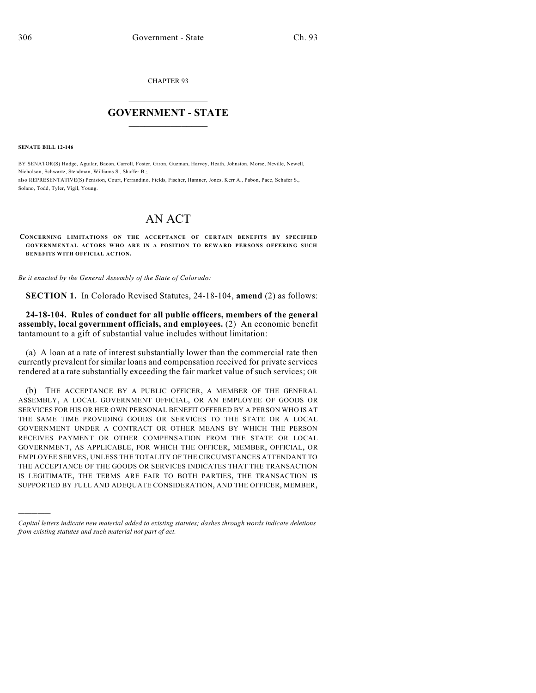CHAPTER 93

## $\overline{\phantom{a}}$  . The set of the set of the set of the set of the set of the set of the set of the set of the set of the set of the set of the set of the set of the set of the set of the set of the set of the set of the set o **GOVERNMENT - STATE**  $\_$

**SENATE BILL 12-146**

)))))

BY SENATOR(S) Hodge, Aguilar, Bacon, Carroll, Foster, Giron, Guzman, Harvey, Heath, Johnston, Morse, Neville, Newell, Nicholson, Schwartz, Steadman, Williams S., Shaffer B.; also REPRESENTATIVE(S) Peniston, Court, Ferrandino, Fields, Fischer, Hamner, Jones, Kerr A., Pabon, Pace, Schafer S., Solano, Todd, Tyler, Vigil, Young.

## AN ACT

**CONCERNING LIMITATIONS ON THE ACCEPTANCE OF CERTAIN BENEFITS BY SPECIFIED GOVERNMENTAL ACTORS WHO ARE IN A POSITION TO REWARD PERSONS OFFERING SUCH BENEFITS WITH OFFICIAL ACTION.**

*Be it enacted by the General Assembly of the State of Colorado:*

**SECTION 1.** In Colorado Revised Statutes, 24-18-104, **amend** (2) as follows:

**24-18-104. Rules of conduct for all public officers, members of the general assembly, local government officials, and employees.** (2) An economic benefit tantamount to a gift of substantial value includes without limitation:

(a) A loan at a rate of interest substantially lower than the commercial rate then currently prevalent forsimilar loans and compensation received for private services rendered at a rate substantially exceeding the fair market value of such services; OR

(b) THE ACCEPTANCE BY A PUBLIC OFFICER, A MEMBER OF THE GENERAL ASSEMBLY, A LOCAL GOVERNMENT OFFICIAL, OR AN EMPLOYEE OF GOODS OR SERVICES FOR HIS OR HER OWN PERSONAL BENEFIT OFFERED BY A PERSON WHO IS AT THE SAME TIME PROVIDING GOODS OR SERVICES TO THE STATE OR A LOCAL GOVERNMENT UNDER A CONTRACT OR OTHER MEANS BY WHICH THE PERSON RECEIVES PAYMENT OR OTHER COMPENSATION FROM THE STATE OR LOCAL GOVERNMENT, AS APPLICABLE, FOR WHICH THE OFFICER, MEMBER, OFFICIAL, OR EMPLOYEE SERVES, UNLESS THE TOTALITY OF THE CIRCUMSTANCES ATTENDANT TO THE ACCEPTANCE OF THE GOODS OR SERVICES INDICATES THAT THE TRANSACTION IS LEGITIMATE, THE TERMS ARE FAIR TO BOTH PARTIES, THE TRANSACTION IS SUPPORTED BY FULL AND ADEQUATE CONSIDERATION, AND THE OFFICER, MEMBER,

*Capital letters indicate new material added to existing statutes; dashes through words indicate deletions from existing statutes and such material not part of act.*